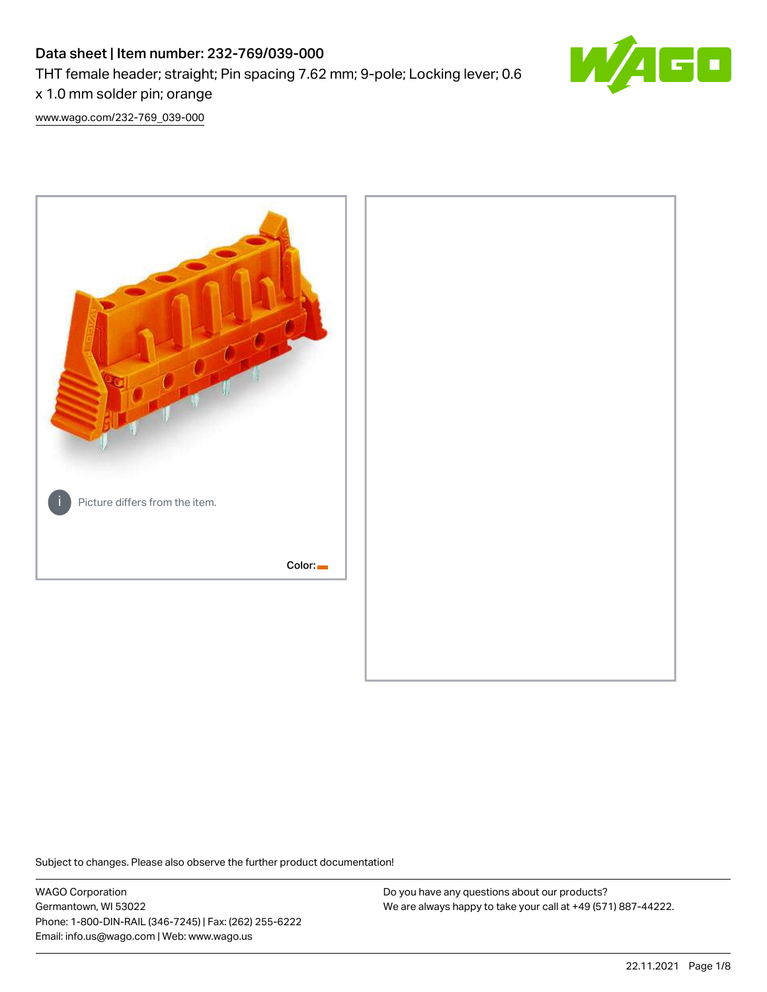# Data sheet | Item number: 232-769/039-000 THT female header; straight; Pin spacing 7.62 mm; 9-pole; Locking lever; 0.6 x 1.0 mm solder pin; orange



[www.wago.com/232-769\\_039-000](http://www.wago.com/232-769_039-000)



Subject to changes. Please also observe the further product documentation!

WAGO Corporation Germantown, WI 53022 Phone: 1-800-DIN-RAIL (346-7245) | Fax: (262) 255-6222 Email: info.us@wago.com | Web: www.wago.us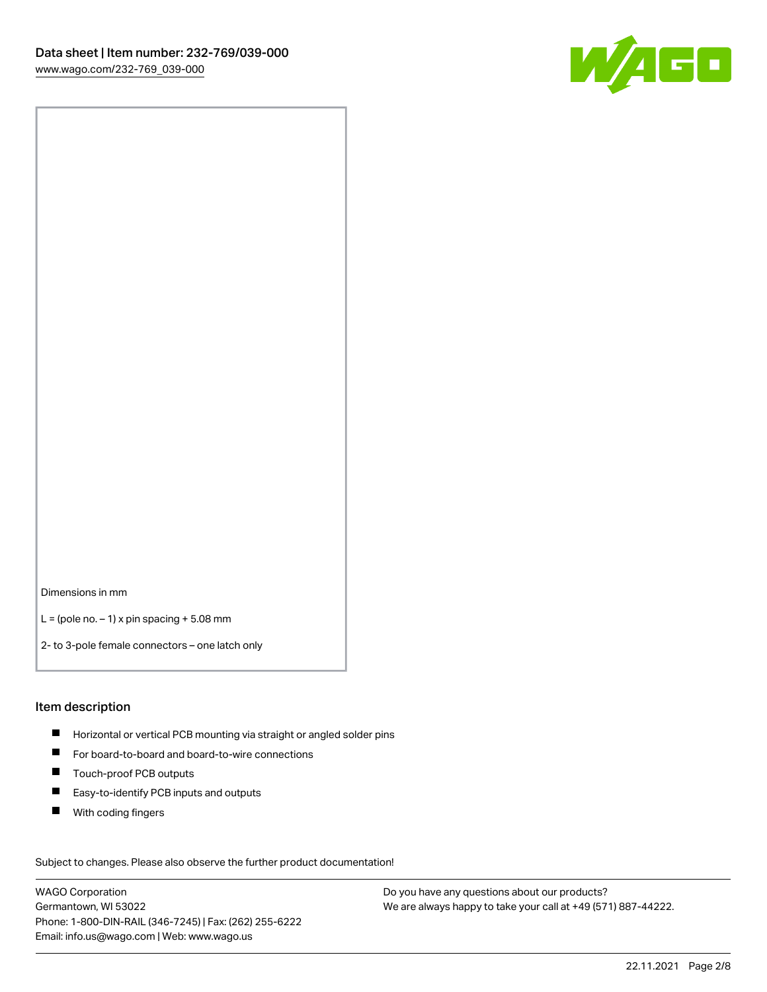

Dimensions in mm

 $L =$  (pole no.  $-1$ ) x pin spacing  $+5.08$  mm

2- to 3-pole female connectors – one latch only

#### Item description

- **H** Horizontal or vertical PCB mounting via straight or angled solder pins
- For board-to-board and board-to-wire connections
- Touch-proof PCB outputs  $\blacksquare$
- $\blacksquare$ Easy-to-identify PCB inputs and outputs
- $\blacksquare$ With coding fingers

Subject to changes. Please also observe the further product documentation! Data

WAGO Corporation Germantown, WI 53022 Phone: 1-800-DIN-RAIL (346-7245) | Fax: (262) 255-6222 Email: info.us@wago.com | Web: www.wago.us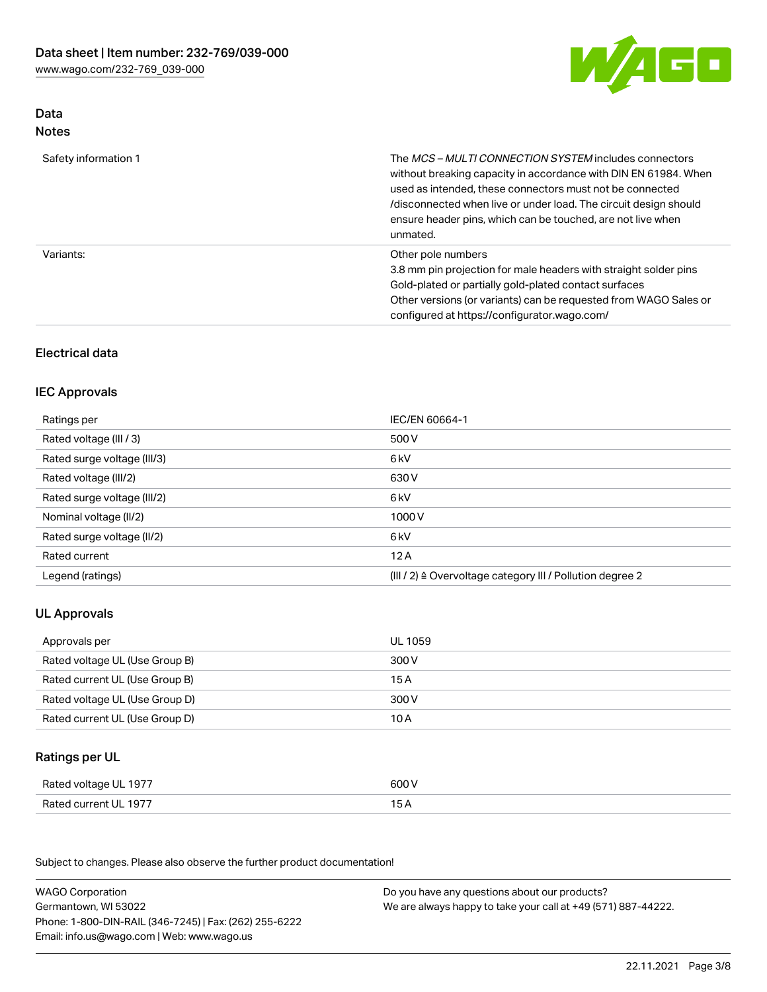

# Data Notes

| Safety information 1 | The MCS-MULTI CONNECTION SYSTEM includes connectors<br>without breaking capacity in accordance with DIN EN 61984. When<br>used as intended, these connectors must not be connected<br>/disconnected when live or under load. The circuit design should<br>ensure header pins, which can be touched, are not live when<br>unmated. |
|----------------------|-----------------------------------------------------------------------------------------------------------------------------------------------------------------------------------------------------------------------------------------------------------------------------------------------------------------------------------|
| Variants:            | Other pole numbers<br>3.8 mm pin projection for male headers with straight solder pins<br>Gold-plated or partially gold-plated contact surfaces<br>Other versions (or variants) can be requested from WAGO Sales or<br>configured at https://configurator.wago.com/                                                               |

# Electrical data

### IEC Approvals

| Ratings per                 | IEC/EN 60664-1                                                        |
|-----------------------------|-----------------------------------------------------------------------|
| Rated voltage (III / 3)     | 500 V                                                                 |
| Rated surge voltage (III/3) | 6 kV                                                                  |
| Rated voltage (III/2)       | 630 V                                                                 |
| Rated surge voltage (III/2) | 6 kV                                                                  |
| Nominal voltage (II/2)      | 1000 V                                                                |
| Rated surge voltage (II/2)  | 6 kV                                                                  |
| Rated current               | 12A                                                                   |
| Legend (ratings)            | $(III / 2)$ $\triangle$ Overvoltage category III / Pollution degree 2 |

# UL Approvals

| Approvals per                  | UL 1059 |
|--------------------------------|---------|
| Rated voltage UL (Use Group B) | 300 V   |
| Rated current UL (Use Group B) | 15 A    |
| Rated voltage UL (Use Group D) | 300 V   |
| Rated current UL (Use Group D) | 10 A    |

# Ratings per UL

| Rated voltage UL 1977 | 600 V |
|-----------------------|-------|
| Rated current UL 1977 |       |

Subject to changes. Please also observe the further product documentation!

| <b>WAGO Corporation</b>                                | Do you have any questions about our products?                 |
|--------------------------------------------------------|---------------------------------------------------------------|
| Germantown, WI 53022                                   | We are always happy to take your call at +49 (571) 887-44222. |
| Phone: 1-800-DIN-RAIL (346-7245)   Fax: (262) 255-6222 |                                                               |
| Email: info.us@wago.com   Web: www.wago.us             |                                                               |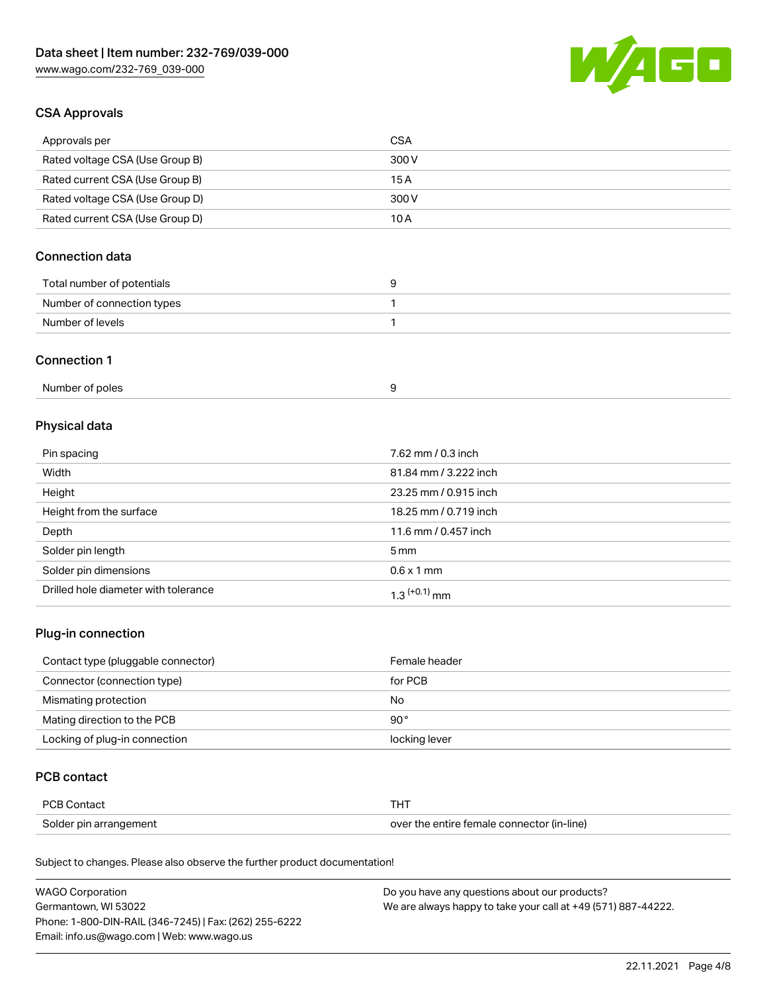

### CSA Approvals

| Approvals per                   | CSA   |
|---------------------------------|-------|
| Rated voltage CSA (Use Group B) | 300 V |
| Rated current CSA (Use Group B) | 15 A  |
| Rated voltage CSA (Use Group D) | 300 V |
| Rated current CSA (Use Group D) | 10 A  |

# Connection data

| Total number of potentials |  |
|----------------------------|--|
| Number of connection types |  |
| Number of levels           |  |

#### Connection 1

| Number of poles |  |  |
|-----------------|--|--|
|-----------------|--|--|

# Physical data

| Pin spacing                          | 7.62 mm / 0.3 inch    |
|--------------------------------------|-----------------------|
| Width                                | 81.84 mm / 3.222 inch |
| Height                               | 23.25 mm / 0.915 inch |
| Height from the surface              | 18.25 mm / 0.719 inch |
| Depth                                | 11.6 mm / 0.457 inch  |
| Solder pin length                    | $5 \,\mathrm{mm}$     |
| Solder pin dimensions                | $0.6 \times 1$ mm     |
| Drilled hole diameter with tolerance | $1.3$ $(+0.1)$ mm     |

# Plug-in connection

| Contact type (pluggable connector) | Female header |
|------------------------------------|---------------|
| Connector (connection type)        | for PCB       |
| Mismating protection               | No            |
| Mating direction to the PCB        | $90^{\circ}$  |
| Locking of plug-in connection      | locking lever |

### PCB contact

| <b>PCB Contact</b>     |                                            |
|------------------------|--------------------------------------------|
| Solder pin arrangement | over the entire female connector (in-line) |

Subject to changes. Please also observe the further product documentation!

| <b>WAGO Corporation</b>                                | Do you have any questions about our products?                 |
|--------------------------------------------------------|---------------------------------------------------------------|
| Germantown, WI 53022                                   | We are always happy to take your call at +49 (571) 887-44222. |
| Phone: 1-800-DIN-RAIL (346-7245)   Fax: (262) 255-6222 |                                                               |
| Email: info.us@wago.com   Web: www.wago.us             |                                                               |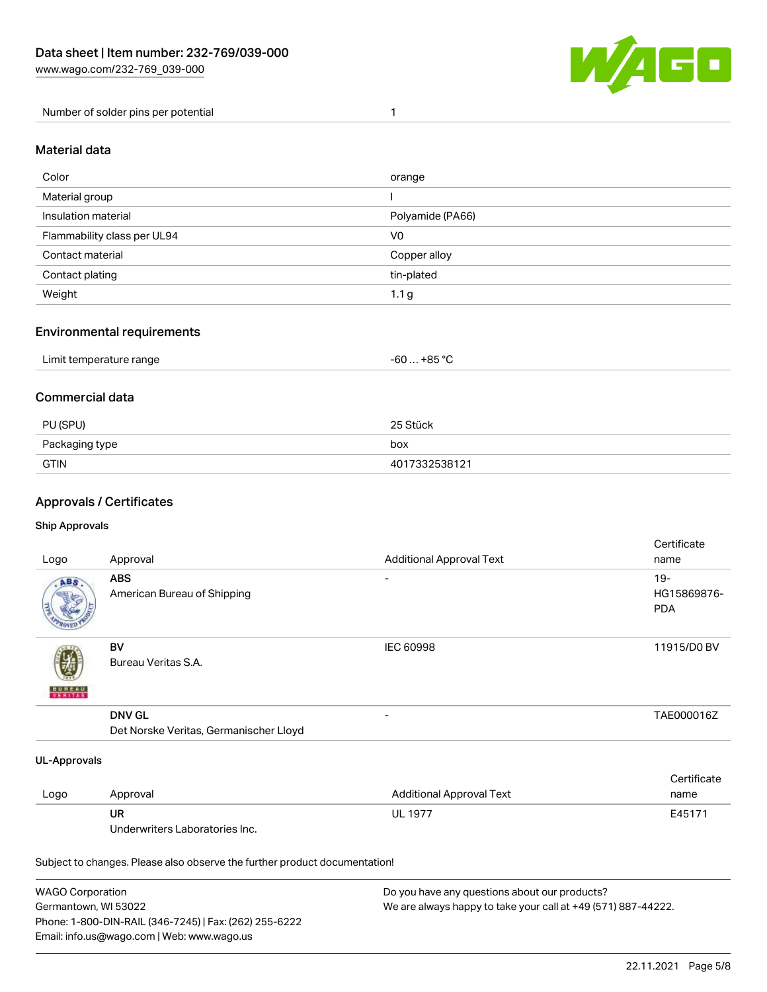

Number of solder pins per potential 1

#### Material data

| orange           |
|------------------|
|                  |
| Polyamide (PA66) |
| V0               |
| Copper alloy     |
| tin-plated       |
| 1.1 <sub>g</sub> |
|                  |

### Environmental requirements

| Limit temperature range | $-60+85 °C$ |  |
|-------------------------|-------------|--|
|                         |             |  |

#### Commercial data

| PU (SPU)       | 25 Stück      |
|----------------|---------------|
| Packaging type | box           |
| <b>GTIN</b>    | 4017332538121 |

# Approvals / Certificates

#### Ship Approvals

| Logo                | Approval                               | <b>Additional Approval Text</b> | Certificate<br>name |
|---------------------|----------------------------------------|---------------------------------|---------------------|
| ABS                 | ABS                                    | $\overline{\phantom{0}}$        | $19 -$              |
|                     | American Bureau of Shipping            |                                 | HG15869876-         |
|                     |                                        |                                 | <b>PDA</b>          |
|                     | BV                                     | <b>IEC 60998</b>                | 11915/D0 BV         |
|                     | Bureau Veritas S.A.                    |                                 |                     |
| <b>BUREAU</b>       |                                        |                                 |                     |
|                     | <b>DNV GL</b>                          |                                 | TAE000016Z          |
|                     | Det Norske Veritas, Germanischer Lloyd |                                 |                     |
| <b>UL-Approvals</b> |                                        |                                 |                     |
|                     |                                        |                                 | Certificate         |
| Logo                | Approval                               | <b>Additional Approval Text</b> | name                |
|                     | <b>UR</b>                              | <b>UL 1977</b>                  | E45171              |
|                     | Underwriters Laboratories Inc.         |                                 |                     |
|                     |                                        |                                 |                     |

Subject to changes. Please also observe the further product documentation!

| WAGO Corporation                                       | Do you have any questions about our products?                 |
|--------------------------------------------------------|---------------------------------------------------------------|
| Germantown, WI 53022                                   | We are always happy to take your call at +49 (571) 887-44222. |
| Phone: 1-800-DIN-RAIL (346-7245)   Fax: (262) 255-6222 |                                                               |
| Email: info.us@wago.com   Web: www.wago.us             |                                                               |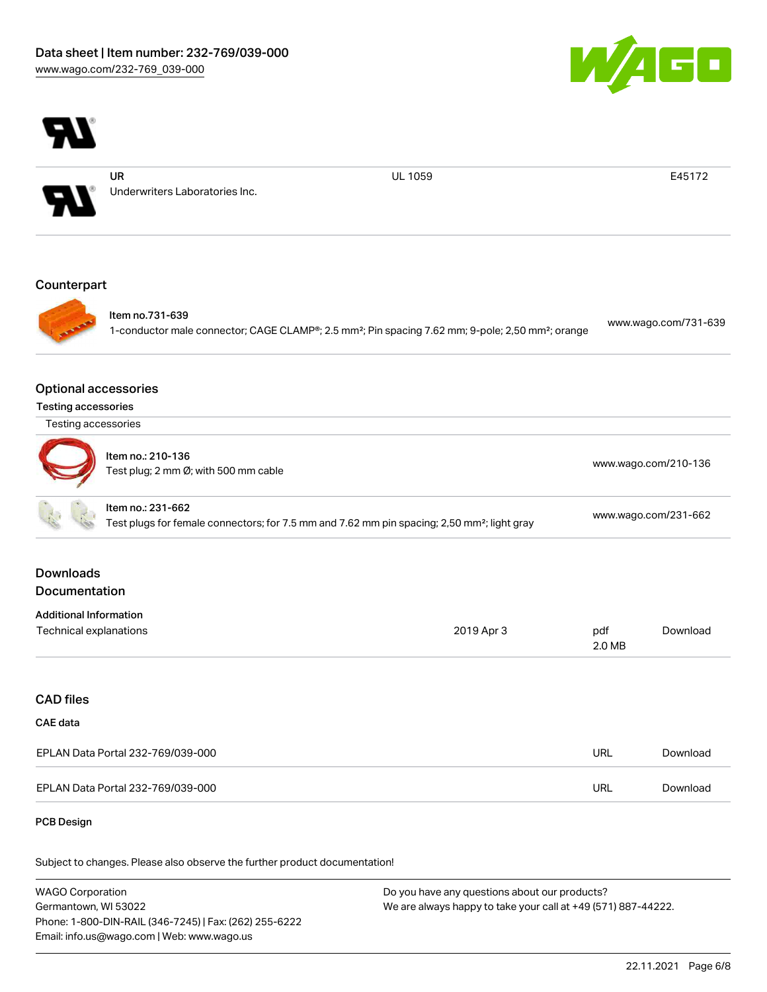



Germantown, WI 53022 Phone: 1-800-DIN-RAIL (346-7245) | Fax: (262) 255-6222 Email: info.us@wago.com | Web: www.wago.us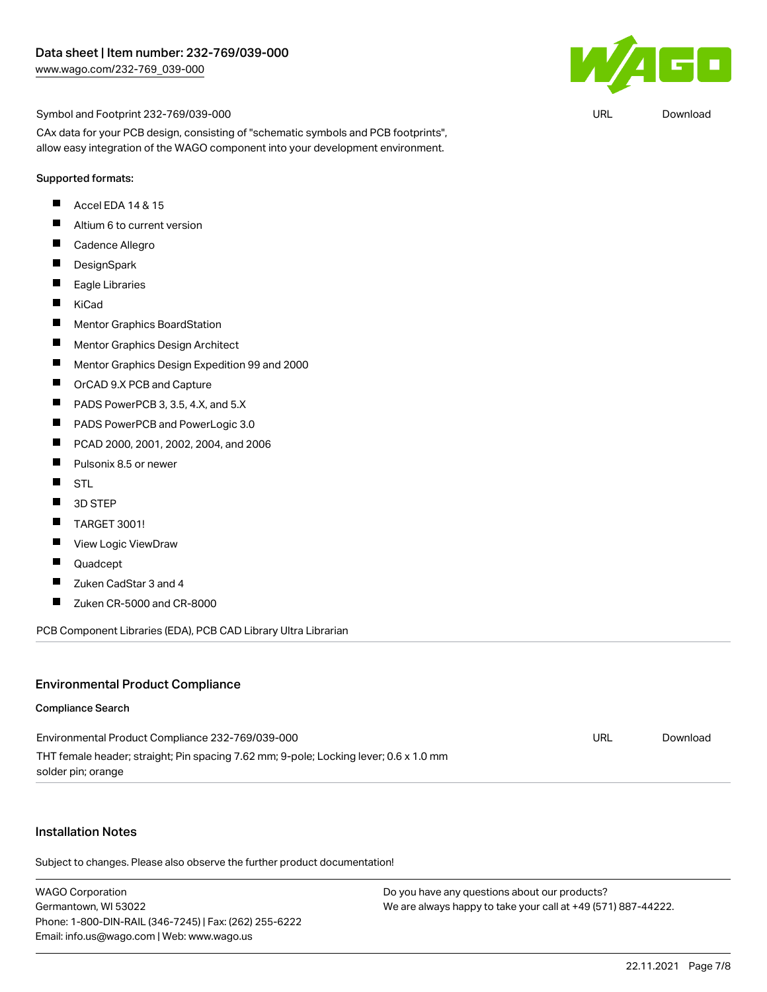

URL [Download](https://www.wago.com/global/d/UltraLibrarian_URLS_232-769_039-000)

Symbol and Footprint 232-769/039-000

CAx data for your PCB design, consisting of "schematic symbols and PCB footprints", allow easy integration of the WAGO component into your development environment.

#### Supported formats:

- П Accel EDA 14 & 15
- $\blacksquare$ Altium 6 to current version
- $\blacksquare$ Cadence Allegro
- $\blacksquare$ **DesignSpark**
- $\blacksquare$ Eagle Libraries
- $\blacksquare$ KiCad
- $\blacksquare$ Mentor Graphics BoardStation
- $\blacksquare$ Mentor Graphics Design Architect
- $\blacksquare$ Mentor Graphics Design Expedition 99 and 2000
- $\blacksquare$ OrCAD 9.X PCB and Capture
- П PADS PowerPCB 3, 3.5, 4.X, and 5.X
- $\blacksquare$ PADS PowerPCB and PowerLogic 3.0
- $\blacksquare$ PCAD 2000, 2001, 2002, 2004, and 2006
- $\blacksquare$ Pulsonix 8.5 or newer
- $\blacksquare$ **STL**
- $\blacksquare$ 3D STEP
- $\blacksquare$ TARGET 3001!
- $\blacksquare$ View Logic ViewDraw
- П Quadcept
- $\blacksquare$ Zuken CadStar 3 and 4
- $\blacksquare$ Zuken CR-5000 and CR-8000

PCB Component Libraries (EDA), PCB CAD Library Ultra Librarian

#### Environmental Product Compliance

#### Compliance Search

| Environmental Product Compliance 232-769/039-000                                      | URL | Download |
|---------------------------------------------------------------------------------------|-----|----------|
| THT female header; straight; Pin spacing 7.62 mm; 9-pole; Locking lever; 0.6 x 1.0 mm |     |          |
| solder pin; orange                                                                    |     |          |

#### Installation Notes

Subject to changes. Please also observe the further product documentation!

WAGO Corporation Germantown, WI 53022 Phone: 1-800-DIN-RAIL (346-7245) | Fax: (262) 255-6222 Email: info.us@wago.com | Web: www.wago.us